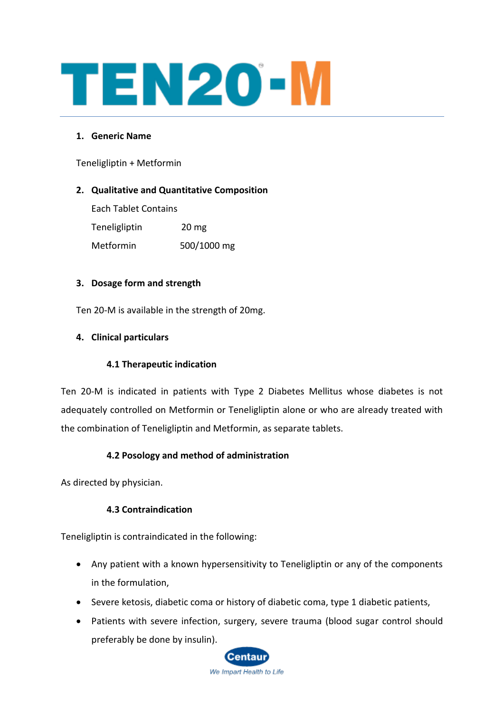

## **1. Generic Name**

Teneligliptin + Metformin

# **2. Qualitative and Quantitative Composition**

Each Tablet Contains

Teneligliptin 20 mg Metformin 500/1000 mg

# **3. Dosage form and strength**

Ten 20-M is available in the strength of 20mg.

# **4. Clinical particulars**

# **4.1 Therapeutic indication**

Ten 20-M is indicated in patients with Type 2 Diabetes Mellitus whose diabetes is not adequately controlled on Metformin or Teneligliptin alone or who are already treated with the combination of Teneligliptin and Metformin, as separate tablets.

# **4.2 Posology and method of administration**

As directed by physician.

# **4.3 Contraindication**

Teneligliptin is contraindicated in the following:

- Any patient with a known hypersensitivity to Teneligliptin or any of the components in the formulation,
- Severe ketosis, diabetic coma or history of diabetic coma, type 1 diabetic patients,
- Patients with severe infection, surgery, severe trauma (blood sugar control should preferably be done by insulin).

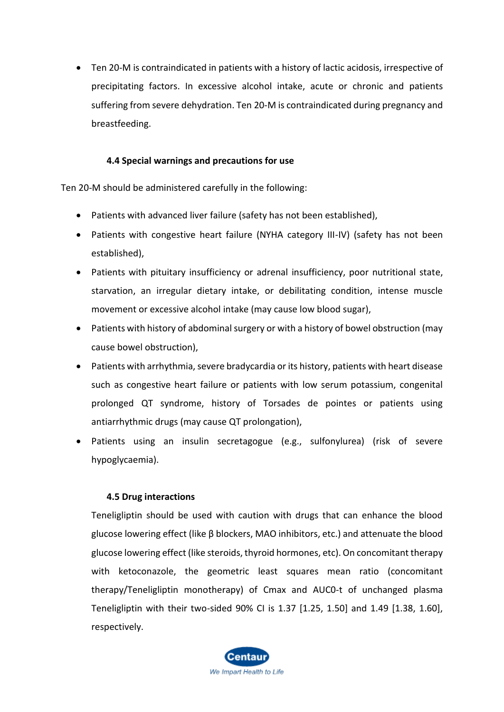• Ten 20-M is contraindicated in patients with a history of lactic acidosis, irrespective of precipitating factors. In excessive alcohol intake, acute or chronic and patients suffering from severe dehydration. Ten 20-M is contraindicated during pregnancy and breastfeeding.

## **4.4 Special warnings and precautions for use**

Ten 20-M should be administered carefully in the following:

- Patients with advanced liver failure (safety has not been established),
- Patients with congestive heart failure (NYHA category III-IV) (safety has not been established),
- Patients with pituitary insufficiency or adrenal insufficiency, poor nutritional state, starvation, an irregular dietary intake, or debilitating condition, intense muscle movement or excessive alcohol intake (may cause low blood sugar),
- Patients with history of abdominal surgery or with a history of bowel obstruction (may cause bowel obstruction),
- Patients with arrhythmia, severe bradycardia or its history, patients with heart disease such as congestive heart failure or patients with low serum potassium, congenital prolonged QT syndrome, history of Torsades de pointes or patients using antiarrhythmic drugs (may cause QT prolongation),
- Patients using an insulin secretagogue (e.g., sulfonylurea) (risk of severe hypoglycaemia).

# **4.5 Drug interactions**

Teneligliptin should be used with caution with drugs that can enhance the blood glucose lowering effect (like β blockers, MAO inhibitors, etc.) and attenuate the blood glucose lowering effect (like steroids, thyroid hormones, etc). On concomitant therapy with ketoconazole, the geometric least squares mean ratio (concomitant therapy/Teneligliptin monotherapy) of Cmax and AUC0-t of unchanged plasma Teneligliptin with their two-sided 90% CI is 1.37 [1.25, 1.50] and 1.49 [1.38, 1.60], respectively.

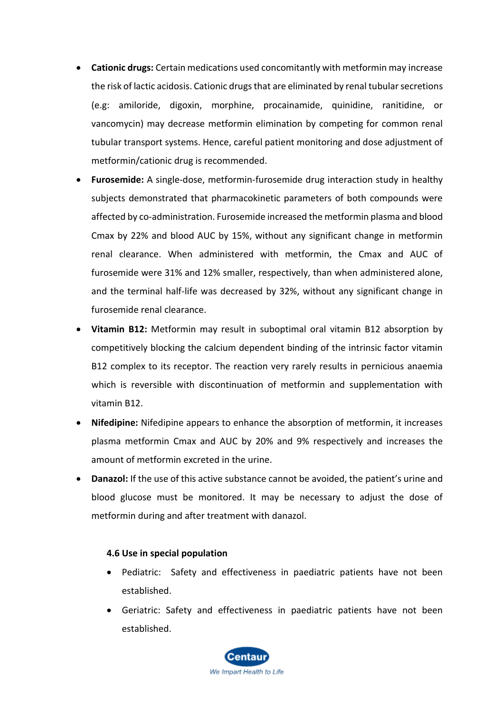- **Cationic drugs:** Certain medications used concomitantly with metformin may increase the risk of lactic acidosis. Cationic drugs that are eliminated by renal tubular secretions (e.g: amiloride, digoxin, morphine, procainamide, quinidine, ranitidine, or vancomycin) may decrease metformin elimination by competing for common renal tubular transport systems. Hence, careful patient monitoring and dose adjustment of metformin/cationic drug is recommended.
- **Furosemide:** A single-dose, metformin-furosemide drug interaction study in healthy subjects demonstrated that pharmacokinetic parameters of both compounds were affected by co-administration. Furosemide increased the metformin plasma and blood Cmax by 22% and blood AUC by 15%, without any significant change in metformin renal clearance. When administered with metformin, the Cmax and AUC of furosemide were 31% and 12% smaller, respectively, than when administered alone, and the terminal half-life was decreased by 32%, without any significant change in furosemide renal clearance.
- **Vitamin B12:** Metformin may result in suboptimal oral vitamin B12 absorption by competitively blocking the calcium dependent binding of the intrinsic factor vitamin B12 complex to its receptor. The reaction very rarely results in pernicious anaemia which is reversible with discontinuation of metformin and supplementation with vitamin B12.
- **Nifedipine:** Nifedipine appears to enhance the absorption of metformin, it increases plasma metformin Cmax and AUC by 20% and 9% respectively and increases the amount of metformin excreted in the urine.
- **Danazol:** If the use of this active substance cannot be avoided, the patient's urine and blood glucose must be monitored. It may be necessary to adjust the dose of metformin during and after treatment with danazol.

## **4.6 Use in special population**

- Pediatric: Safety and effectiveness in paediatric patients have not been established.
- Geriatric: Safety and effectiveness in paediatric patients have not been established.

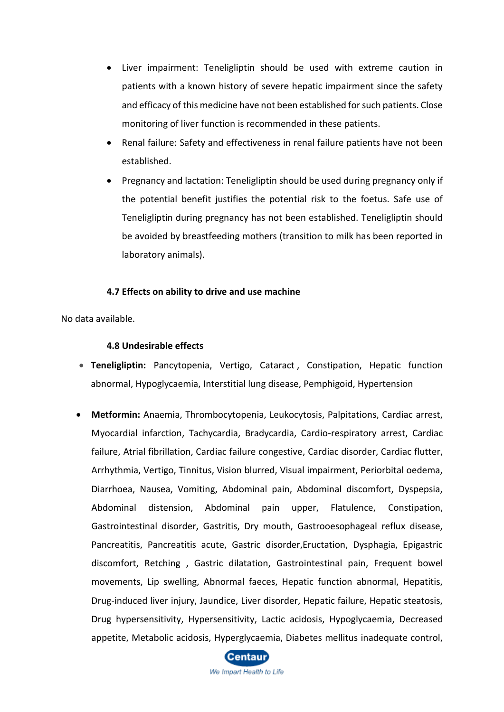- Liver impairment: Teneligliptin should be used with extreme caution in patients with a known history of severe hepatic impairment since the safety and efficacy of this medicine have not been established for such patients. Close monitoring of liver function is recommended in these patients.
- Renal failure: Safety and effectiveness in renal failure patients have not been established.
- Pregnancy and lactation: Teneligliptin should be used during pregnancy only if the potential benefit justifies the potential risk to the foetus. Safe use of Teneligliptin during pregnancy has not been established. Teneligliptin should be avoided by breastfeeding mothers (transition to milk has been reported in laboratory animals).

## **4.7 Effects on ability to drive and use machine**

No data available.

#### **4.8 Undesirable effects**

- **Teneligliptin:** Pancytopenia, Vertigo, Cataract , Constipation, Hepatic function abnormal, Hypoglycaemia, Interstitial lung disease, Pemphigoid, Hypertension
- **Metformin:** Anaemia, Thrombocytopenia, Leukocytosis, Palpitations, Cardiac arrest, Myocardial infarction, Tachycardia, Bradycardia, Cardio-respiratory arrest, Cardiac failure, Atrial fibrillation, Cardiac failure congestive, Cardiac disorder, Cardiac flutter, Arrhythmia, Vertigo, Tinnitus, Vision blurred, Visual impairment, Periorbital oedema, Diarrhoea, Nausea, Vomiting, Abdominal pain, Abdominal discomfort, Dyspepsia, Abdominal distension, Abdominal pain upper, Flatulence, Constipation, Gastrointestinal disorder, Gastritis, Dry mouth, Gastrooesophageal reflux disease, Pancreatitis, Pancreatitis acute, Gastric disorder,Eructation, Dysphagia, Epigastric discomfort, Retching , Gastric dilatation, Gastrointestinal pain, Frequent bowel movements, Lip swelling, Abnormal faeces, Hepatic function abnormal, Hepatitis, Drug-induced liver injury, Jaundice, Liver disorder, Hepatic failure, Hepatic steatosis, Drug hypersensitivity, Hypersensitivity, Lactic acidosis, Hypoglycaemia, Decreased appetite, Metabolic acidosis, Hyperglycaemia, Diabetes mellitus inadequate control,

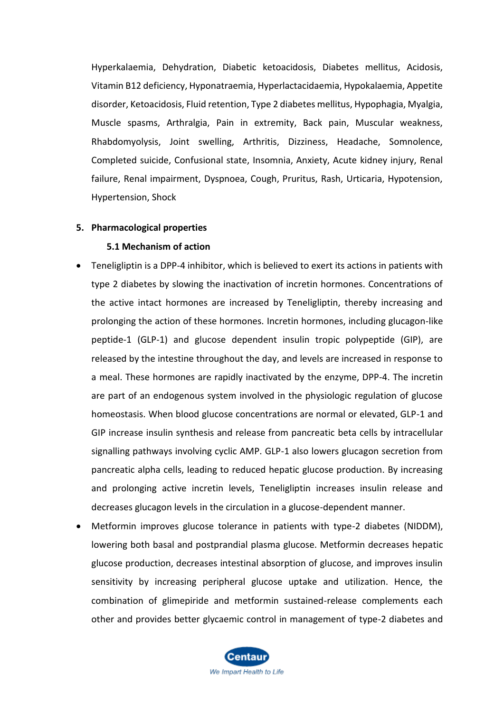Hyperkalaemia, Dehydration, Diabetic ketoacidosis, Diabetes mellitus, Acidosis, Vitamin B12 deficiency, Hyponatraemia, Hyperlactacidaemia, Hypokalaemia, Appetite disorder, Ketoacidosis, Fluid retention, Type 2 diabetes mellitus, Hypophagia, Myalgia, Muscle spasms, Arthralgia, Pain in extremity, Back pain, Muscular weakness, Rhabdomyolysis, Joint swelling, Arthritis, Dizziness, Headache, Somnolence, Completed suicide, Confusional state, Insomnia, Anxiety, Acute kidney injury, Renal failure, Renal impairment, Dyspnoea, Cough, Pruritus, Rash, Urticaria, Hypotension, Hypertension, Shock

#### **5. Pharmacological properties**

#### **5.1 Mechanism of action**

- Teneligliptin is a DPP-4 inhibitor, which is believed to exert its actions in patients with type 2 diabetes by slowing the inactivation of incretin hormones. Concentrations of the active intact hormones are increased by Teneligliptin, thereby increasing and prolonging the action of these hormones. Incretin hormones, including glucagon-like peptide-1 (GLP-1) and glucose dependent insulin tropic polypeptide (GIP), are released by the intestine throughout the day, and levels are increased in response to a meal. These hormones are rapidly inactivated by the enzyme, DPP-4. The incretin are part of an endogenous system involved in the physiologic regulation of glucose homeostasis. When blood glucose concentrations are normal or elevated, GLP-1 and GIP increase insulin synthesis and release from pancreatic beta cells by intracellular signalling pathways involving cyclic AMP. GLP-1 also lowers glucagon secretion from pancreatic alpha cells, leading to reduced hepatic glucose production. By increasing and prolonging active incretin levels, Teneligliptin increases insulin release and decreases glucagon levels in the circulation in a glucose-dependent manner.
- Metformin improves glucose tolerance in patients with type-2 diabetes (NIDDM), lowering both basal and postprandial plasma glucose. Metformin decreases hepatic glucose production, decreases intestinal absorption of glucose, and improves insulin sensitivity by increasing peripheral glucose uptake and utilization. Hence, the combination of glimepiride and metformin sustained-release complements each other and provides better glycaemic control in management of type-2 diabetes and

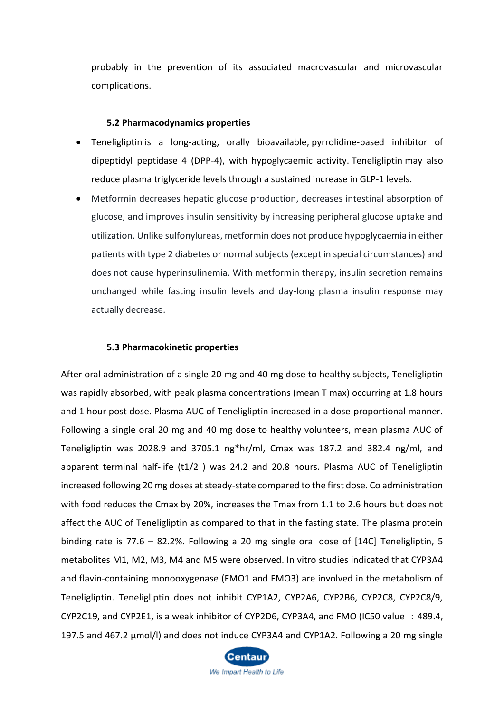probably in the prevention of its associated macrovascular and microvascular complications.

#### **5.2 Pharmacodynamics properties**

- Teneligliptin is a long-acting, orally bioavailable, [pyrrolidine-](https://pubchem.ncbi.nlm.nih.gov/compound/pyrrolidine)based inhibitor of dipeptidyl peptidase 4 (DPP-4), with hypoglycaemic activity. Teneligliptin may also reduce plasma triglyceride levels through a sustained increase in GLP-1 levels.
- Metformin decreases hepatic glucose production, decreases intestinal absorption of glucose, and improves insulin sensitivity by increasing peripheral glucose uptake and utilization. Unlike sulfonylureas, metformin does not produce hypoglycaemia in either patients with type 2 diabetes or normal subjects (except in special circumstances) and does not cause hyperinsulinemia. With metformin therapy, insulin secretion remains unchanged while fasting insulin levels and day-long plasma insulin response may actually decrease.

#### **5.3 Pharmacokinetic properties**

After oral administration of a single 20 mg and 40 mg dose to healthy subjects, Teneligliptin was rapidly absorbed, with peak plasma concentrations (mean T max) occurring at 1.8 hours and 1 hour post dose. Plasma AUC of Teneligliptin increased in a dose-proportional manner. Following a single oral 20 mg and 40 mg dose to healthy volunteers, mean plasma AUC of Teneligliptin was 2028.9 and 3705.1 ng\*hr/ml, Cmax was 187.2 and 382.4 ng/ml, and apparent terminal half-life (t1/2 ) was 24.2 and 20.8 hours. Plasma AUC of Teneligliptin increased following 20 mg doses at steady-state compared to the first dose. Co administration with food reduces the Cmax by 20%, increases the Tmax from 1.1 to 2.6 hours but does not affect the AUC of Teneligliptin as compared to that in the fasting state. The plasma protein binding rate is 77.6 – 82.2%. Following a 20 mg single oral dose of [14C] Teneligliptin, 5 metabolites M1, M2, M3, M4 and M5 were observed. In vitro studies indicated that CYP3A4 and flavin-containing monooxygenase (FMO1 and FMO3) are involved in the metabolism of Teneligliptin. Teneligliptin does not inhibit CYP1A2, CYP2A6, CYP2B6, CYP2C8, CYP2C8/9, CYP2C19, and CYP2E1, is a weak inhibitor of CYP2D6, CYP3A4, and FMO (IC50 value : 489.4, 197.5 and 467.2 µmol/l) and does not induce CYP3A4 and CYP1A2. Following a 20 mg single

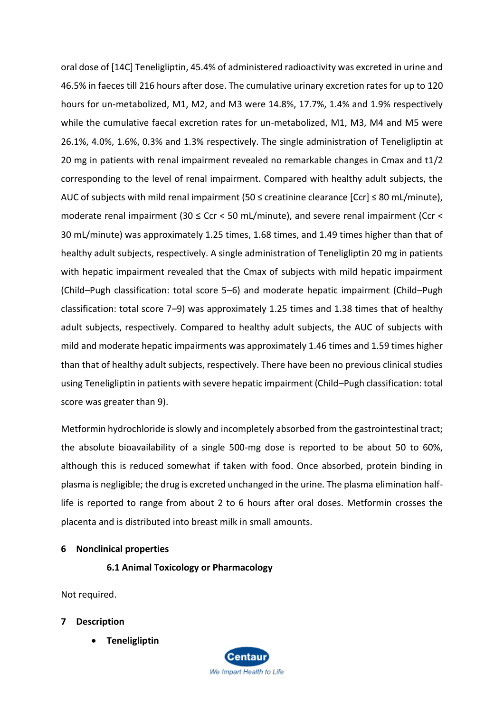oral dose of [14C] Teneligliptin, 45.4% of administered radioactivity was excreted in urine and 46.5% in faeces till 216 hours after dose. The cumulative urinary excretion rates for up to 120 hours for un-metabolized, M1, M2, and M3 were 14.8%, 17.7%, 1.4% and 1.9% respectively while the cumulative faecal excretion rates for un-metabolized, M1, M3, M4 and M5 were 26.1%, 4.0%, 1.6%, 0.3% and 1.3% respectively. The single administration of Teneligliptin at 20 mg in patients with renal impairment revealed no remarkable changes in Cmax and t1/2 corresponding to the level of renal impairment. Compared with healthy adult subjects, the AUC of subjects with mild renal impairment (50  $\leq$  creatinine clearance [Ccr]  $\leq$  80 mL/minute), moderate renal impairment (30  $\leq$  Ccr  $\lt$  50 mL/minute), and severe renal impairment (Ccr  $\lt$ 30 mL/minute) was approximately 1.25 times, 1.68 times, and 1.49 times higher than that of healthy adult subjects, respectively. A single administration of Teneligliptin 20 mg in patients with hepatic impairment revealed that the Cmax of subjects with mild hepatic impairment (Child–Pugh classification: total score 5–6) and moderate hepatic impairment (Child–Pugh classification: total score 7–9) was approximately 1.25 times and 1.38 times that of healthy adult subjects, respectively. Compared to healthy adult subjects, the AUC of subjects with mild and moderate hepatic impairments was approximately 1.46 times and 1.59 times higher than that of healthy adult subjects, respectively. There have been no previous clinical studies using Teneligliptin in patients with severe hepatic impairment (Child–Pugh classification: total score was greater than 9).

Metformin hydrochloride is slowly and incompletely absorbed from the gastrointestinal tract; the absolute bioavailability of a single 500-mg dose is reported to be about 50 to 60%, although this is reduced somewhat if taken with food. Once absorbed, protein binding in plasma is negligible; the drug is excreted unchanged in the urine. The plasma elimination halflife is reported to range from about 2 to 6 hours after oral doses. Metformin crosses the placenta and is distributed into breast milk in small amounts.

## **6 Nonclinical properties**

## **6.1 Animal Toxicology or Pharmacology**

Not required.

- **7 Description**
	- **Teneligliptin**

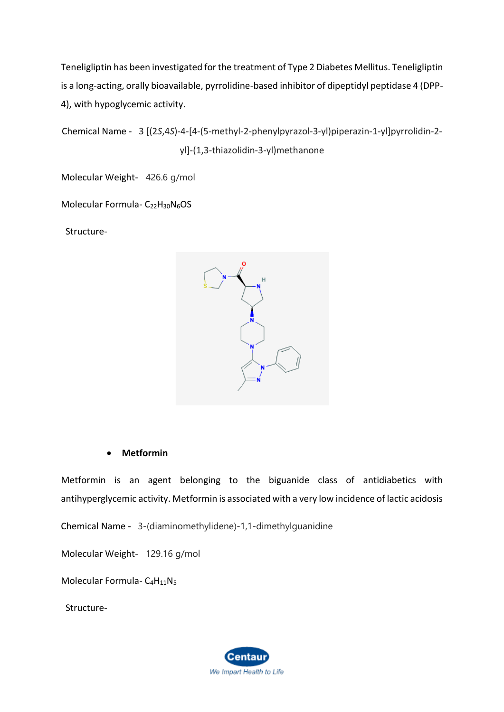Teneligliptin has been investigated for the treatment of Type 2 Diabetes Mellitus. Teneligliptin is a long-acting, orally bioavailable, pyrrolidine-based inhibitor of dipeptidyl peptidase 4 (DPP-4), with hypoglycemic activity.

Chemical Name - 3 [(2*S*,4*S*)-4-[4-(5-methyl-2-phenylpyrazol-3-yl)piperazin-1-yl]pyrrolidin-2 yl]-(1,3-thiazolidin-3-yl)methanone

Molecular Weight- 426.6 g/mol

Molecular Formula- C<sub>22</sub>H<sub>30</sub>N<sub>6</sub>OS

Structure-



## • **Metformin**

Metformin is an agent belonging to the biguanide class of antidiabetics with antihyperglycemic activity. Metformin is associated with a very low incidence of lactic acidosis

Chemical Name - 3-(diaminomethylidene)-1,1-dimethylguanidine

Molecular Weight- 129.16 g/mol

Molecular Formula- C<sub>4</sub>H<sub>11</sub>N<sub>5</sub>

Structure-

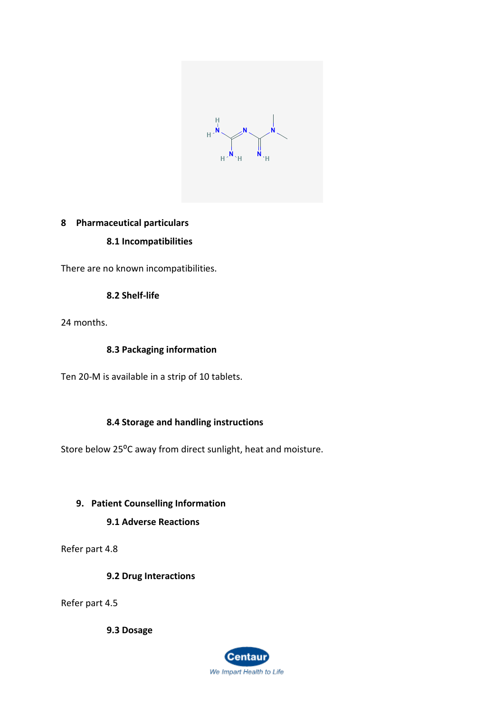

## **8 Pharmaceutical particulars**

# **8.1 Incompatibilities**

There are no known incompatibilities.

## **8.2 Shelf-life**

24 months.

## **8.3 Packaging information**

Ten 20-M is available in a strip of 10 tablets.

# **8.4 Storage and handling instructions**

Store below 25<sup>o</sup>C away from direct sunlight, heat and moisture.

# **9. Patient Counselling Information**

# **9.1 Adverse Reactions**

Refer part 4.8

**9.2 Drug Interactions**

Refer part 4.5

**9.3 Dosage**